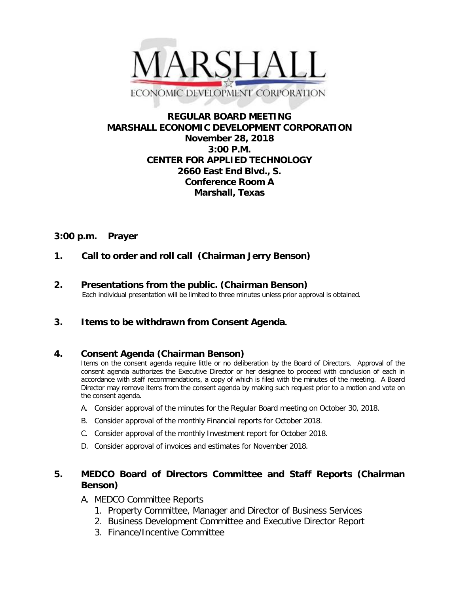

## **REGULAR BOARD MEETING MARSHALL ECONOMIC DEVELOPMENT CORPORATION November 28, 2018 3:00 P.M. CENTER FOR APPLIED TECHNOLOGY 2660 East End Blvd., S. Conference Room A Marshall, Texas**

#### **3:00 p.m. Prayer**

# **1. Call to order and roll call (Chairman Jerry Benson)**

**2. Presentations from the public. (Chairman Benson)**<br>Each individual presentation will be limited to three minutes unless prior approval is obtained.

## **3. Items to be withdrawn from Consent Agenda.**

## **4. Consent Agenda (Chairman Benson)**

Items on the consent agenda require little or no deliberation by the Board of Directors. Approval of the consent agenda authorizes the Executive Director or her designee to proceed with conclusion of each in accordance with staff recommendations, a copy of which is filed with the minutes of the meeting. A Board Director may remove items from the consent agenda by making such request prior to a motion and vote on the consent agenda.

- A. Consider approval of the minutes for the Regular Board meeting on October 30, 2018.
- B. Consider approval of the monthly Financial reports for October 2018.
- C. Consider approval of the monthly Investment report for October 2018.
- D. Consider approval of invoices and estimates for November 2018.

## **5. MEDCO Board of Directors Committee and Staff Reports (Chairman Benson)**

- A. MEDCO Committee Reports
	- 1. Property Committee, Manager and Director of Business Services
	- 2. Business Development Committee and Executive Director Report
	- 3. Finance/Incentive Committee